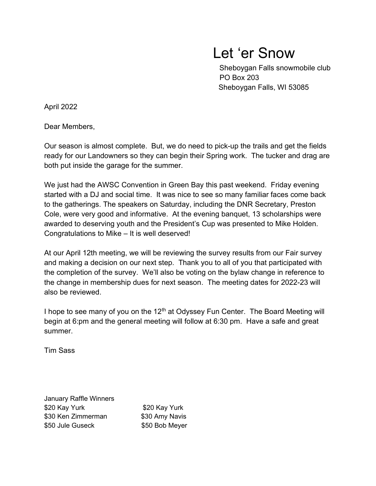## Let 'er Snow

 Sheboygan Falls snowmobile club PO Box 203 Sheboygan Falls, WI 53085

April 2022

Dear Members,

Our season is almost complete. But, we do need to pick-up the trails and get the fields ready for our Landowners so they can begin their Spring work. The tucker and drag are both put inside the garage for the summer.

We just had the AWSC Convention in Green Bay this past weekend. Friday evening started with a DJ and social time. It was nice to see so many familiar faces come back to the gatherings. The speakers on Saturday, including the DNR Secretary, Preston Cole, were very good and informative. At the evening banquet, 13 scholarships were awarded to deserving youth and the President's Cup was presented to Mike Holden. Congratulations to Mike – It is well deserved!

At our April 12th meeting, we will be reviewing the survey results from our Fair survey and making a decision on our next step. Thank you to all of you that participated with the completion of the survey. We'll also be voting on the bylaw change in reference to the change in membership dues for next season. The meeting dates for 2022-23 will also be reviewed.

I hope to see many of you on the  $12<sup>th</sup>$  at Odyssey Fun Center. The Board Meeting will begin at 6:pm and the general meeting will follow at 6:30 pm. Have a safe and great summer.

Tim Sass

January Raffle Winners \$20 Kay Yurk \$20 Kay Yurk \$30 Ken Zimmerman \$30 Amy Navis \$50 Jule Guseck \$50 Bob Meyer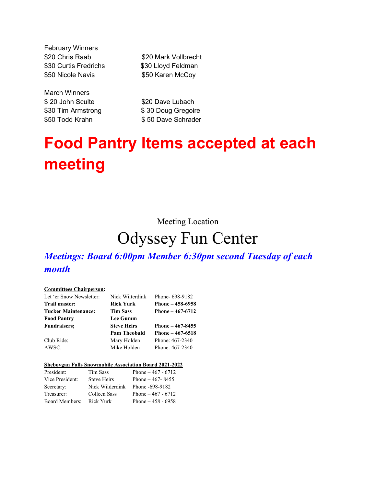February Winners \$20 Chris Raab \$20 Mark Vollbrecht \$30 Curtis Fredrichs \$30 Lloyd Feldman \$50 Nicole Navis \$50 Karen McCoy

March Winners \$20 John Sculte \$20 Dave Lubach

\$30 Tim Armstrong \$30 Doug Gregoire \$50 Todd Krahn \$50 Dave Schrader

# Food Pantry Items accepted at each meeting

Meeting Location

## Odyssey Fun Center

### Meetings: Board 6:00pm Member 6:30pm second Tuesday of each month

#### Committees Chairperson:

| Let 'er Snow Newsletter:   | Nick Wilterdink     | Phone-698-9182    |
|----------------------------|---------------------|-------------------|
| Trail master:              | <b>Rick Yurk</b>    | Phone – 458-6958  |
| <b>Tucker Maintenance:</b> | <b>Tim Sass</b>     | Phone $-467-6712$ |
| <b>Food Pantry</b>         | <b>Lee Gumm</b>     |                   |
| <b>Fundraisers:</b>        | <b>Steve Heirs</b>  | Phone $-467-8455$ |
|                            |                     |                   |
|                            | <b>Pam Theobald</b> | Phone $-467-6518$ |
| Club Ride:                 | Mary Holden         | Phone: 467-2340   |

### Sheboygan Falls Snowmobile Association Board 2021-2022

| President:      | Tim Sass        | Phone $-467 - 6712$ |
|-----------------|-----------------|---------------------|
| Vice President: | Steve Heirs     | Phone $-467 - 8455$ |
| Secretary:      | Nick Wilderdink | Phone -698-9182     |
| Treasurer:      | Colleen Sass    | Phone $-467 - 6712$ |
| Board Members:  | Rick Yurk       | Phone $-458 - 6958$ |